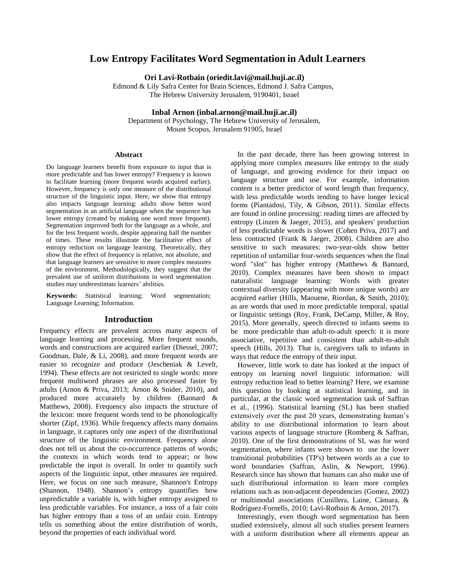# **Low Entropy Facilitates Word Segmentation in Adult Learners**

**Ori Lavi-Rotbain (oriedit.lavi@mail.huji.ac.il)**

Edmond & Lily Safra Center for Brain Sciences, Edmond J. Safra Campus, The Hebrew University Jerusalem, 9190401, Israel

**Inbal Arnon (inbal.arnon@mail.huji.ac.il)**

Department of Psychology, The Hebrew University of Jerusalem, Mount Scopus, Jerusalem 91905, Israel

#### **Abstract**

Do language learners benefit from exposure to input that is more predictable and has lower entropy? Frequency is known to facilitate learning (more frequent words acquired earlier). However, frequency is only one measure of the distributional structure of the linguistic input. Here, we show that entropy also impacts language learning: adults show better word segmentation in an artificial language when the sequence has lower entropy (created by making one word more frequent). Segmentation improved both for the language as a whole, and for the less frequent words, despite appearing half the number of times. These results illustrate the facilitative effect of entropy reduction on language learning. Theoretically, they show that the effect of frequency is relative, not absolute, and that language learners are sensitive to more complex measures of the environment. Methodologically, they suggest that the prevalent use of uniform distributions in word segmentation studies may underestimate learners' abilities.

**Keywords:** Statistical learning; Word segmentation; Language Learning; Information.

### **Introduction**

Frequency effects are prevalent across many aspects of language learning and processing. More frequent sounds, words and constructions are acquired earlier (Diessel, 2007; Goodman, Dale, & Li, 2008), and more frequent words are easier to recognize and produce (Jescheniak & Levelt, 1994). These effects are not restricted to single words: more frequent multiword phrases are also processed faster by adults (Arnon & Priva, 2013; Arnon & Snider, 2010), and produced more accurately by children (Bannard & Matthews, 2008). Frequency also impacts the structure of the lexicon: more frequent words tend to be phonologically shorter (Zipf, 1936). While frequency affects many domains in language, it captures only one aspect of the distributional structure of the linguistic environment. Frequency alone does not tell us about the co-occurrence patterns of words; the contexts in which words tend to appear; or how predictable the input is overall. In order to quantify such aspects of the linguistic input, other measures are required. Here, we focus on one such measure, Shannon's Entropy (Shannon, 1948). Shannon's entropy quantifies how unpredictable a variable is, with higher entropy assigned to less predictable variables. For instance, a toss of a fair coin has higher entropy than a toss of an unfair coin. Entropy tells us something about the entire distribution of words, beyond the properties of each individual word.

In the past decade, there has been growing interest in applying more complex measures like entropy to the study of language, and growing evidence for their impact on language structure and use. For example, information content is a better predictor of word length than frequency, with less predictable words tending to have longer lexical forms (Piantadosi, Tily, & Gibson, 2011). Similar effects are found in online processing: reading times are affected by entropy (Linzen & Jaeger, 2015), and speakers' production of less predictable words is slower (Cohen Priva, 2017) and less contracted (Frank & Jaeger, 2008). Children are also sensitive to such measures: two-year-olds show better repetition of unfamiliar four-words sequences when the final word "slot" has higher entropy (Matthews & Bannard, 2010). Complex measures have been shown to impact naturalistic language learning: Words with greater contextual diversity (appearing with more unique words) are acquired earlier (Hills, Maouene, Riordan, & Smith, 2010); as are words that used in more predictable temporal, spatial or linguistic settings (Roy, Frank, DeCamp, Miller, & Roy, 2015). More generally, speech directed to infants seems to be more predictable than adult-to-adult speech: it is more associative, repetitive and consistent than adult-to-adult speech (Hills, 2013). That is, caregivers talk to infants in ways that reduce the entropy of their input.

However, little work to date has looked at the impact of entropy on learning novel linguistic information: will entropy reduction lead to better learning? Here, we examine this question by looking at statistical learning, and in particular, at the classic word segmentation task of Saffran et al., (1996). Statistical learning (SL) has been studied extensively over the past 20 years, demonstrating human's ability to use distributional information to learn about various aspects of language structure (Romberg & Saffran, 2010). One of the first demonstrations of SL was for word segmentation, where infants were shown to use the lower transitional probabilities (TP's) between words as a cue to word boundaries (Saffran, Aslin, & Newport, 1996). Research since has shown that humans can also make use of such distributional information to learn more complex relations such as non-adjacent dependencies (Gomez, 2002) or multimodal associations (Cunillera, Laine, Càmara, & Rodríguez-Fornells, 2010; Lavi-Rotbain & Arnon, 2017).

Interestingly, even though word segmentation has been studied extensively, almost all such studies present learners with a uniform distribution where all elements appear an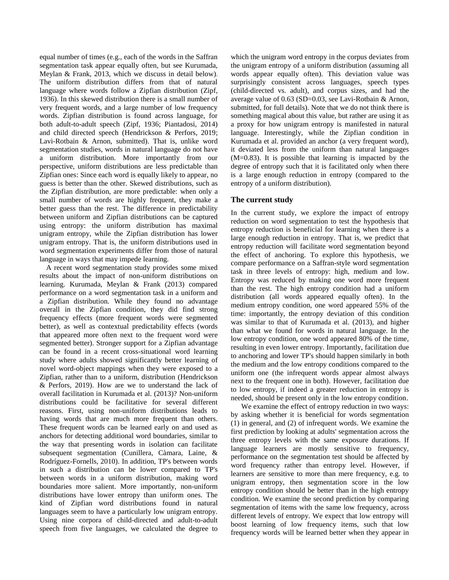equal number of times (e.g., each of the words in the Saffran segmentation task appear equally often, but see Kurumada, Meylan & Frank, 2013, which we discuss in detail below). The uniform distribution differs from that of natural language where words follow a Zipfian distribution (Zipf, 1936). In this skewed distribution there is a small number of very frequent words, and a large number of low frequency words. Zipfian distribution is found across language, for both adult-to-adult speech (Zipf, 1936; Piantadosi, 2014) and child directed speech (Hendrickson & Perfors, 2019; Lavi-Rotbain & Arnon, submitted). That is, unlike word segmentation studies, words in natural language do not have a uniform distribution. More importantly from our perspective, uniform distributions are less predictable than Zipfian ones: Since each word is equally likely to appear, no guess is better than the other. Skewed distributions, such as the Zipfian distribution, are more predictable: when only a small number of words are highly frequent, they make a better guess than the rest. The difference in predictability between uniform and Zipfian distributions can be captured using entropy: the uniform distribution has maximal unigram entropy, while the Zipfian distribution has lower unigram entropy. That is, the uniform distributions used in word segmentation experiments differ from those of natural language in ways that may impede learning.

A recent word segmentation study provides some mixed results about the impact of non-uniform distributions on learning. Kurumada, Meylan & Frank (2013) compared performance on a word segmentation task in a uniform and a Zipfian distribution. While they found no advantage overall in the Zipfian condition, they did find strong frequency effects (more frequent words were segmented better), as well as contextual predictability effects (words that appeared more often next to the frequent word were segmented better). Stronger support for a Zipfian advantage can be found in a recent cross-situational word learning study where adults showed significantly better learning of novel word-object mappings when they were exposed to a Zipfian, rather than to a uniform, distribution (Hendrickson & Perfors, 2019). How are we to understand the lack of overall facilitation in Kurumada et al. (2013)? Non-uniform distributions could be facilitative for several different reasons. First, using non-uniform distributions leads to having words that are much more frequent than others. These frequent words can be learned early on and used as anchors for detecting additional word boundaries, similar to the way that presenting words in isolation can facilitate subsequent segmentation (Cunillera, Càmara, Laine, & Rodríguez-Fornells, 2010). In addition, TP's between words in such a distribution can be lower compared to TP's between words in a uniform distribution, making word boundaries more salient. More importantly, non-uniform distributions have lower entropy than uniform ones. The kind of Zipfian word distributions found in natural languages seem to have a particularly low unigram entropy. Using nine corpora of child-directed and adult-to-adult speech from five languages, we calculated the degree to

which the unigram word entropy in the corpus deviates from the unigram entropy of a uniform distribution (assuming all words appear equally often). This deviation value was surprisingly consistent across languages, speech types (child-directed vs. adult), and corpus sizes, and had the average value of 0.63 (SD=0.03, see Lavi-Rotbain & Arnon, submitted, for full details). Note that we do not think there is something magical about this value, but rather are using it as a proxy for how unigram entropy is manifested in natural language. Interestingly, while the Zipfian condition in Kurumada et al. provided an anchor (a very frequent word), it deviated less from the uniform than natural languages (M=0.83). It is possible that learning is impacted by the degree of entropy such that it is facilitated only when there is a large enough reduction in entropy (compared to the entropy of a uniform distribution).

## **The current study**

In the current study, we explore the impact of entropy reduction on word segmentation to test the hypothesis that entropy reduction is beneficial for learning when there is a large enough reduction in entropy. That is, we predict that entropy reduction will facilitate word segmentation beyond the effect of anchoring. To explore this hypothesis, we compare performance on a Saffran-style word segmentation task in three levels of entropy: high, medium and low. Entropy was reduced by making one word more frequent than the rest. The high entropy condition had a uniform distribution (all words appeared equally often). In the medium entropy condition, one word appeared 55% of the time: importantly, the entropy deviation of this condition was similar to that of Kurumada et al. (2013), and higher than what we found for words in natural language. In the low entropy condition, one word appeared 80% of the time, resulting in even lower entropy. Importantly, facilitation due to anchoring and lower TP's should happen similarly in both the medium and the low entropy conditions compared to the uniform one (the infrequent words appear almost always next to the frequent one in both). However, facilitation due to low entropy, if indeed a greater reduction in entropy is needed, should be present only in the low entropy condition.

We examine the effect of entropy reduction in two ways: by asking whether it is beneficial for words segmentation (1) in general, and (2) of infrequent words. We examine the first prediction by looking at adults' segmentation across the three entropy levels with the same exposure durations. If language learners are mostly sensitive to frequency, performance on the segmentation test should be affected by word frequency rather than entropy level. However, if learners are sensitive to more than mere frequency, e.g. to unigram entropy, then segmentation score in the low entropy condition should be better than in the high entropy condition. We examine the second prediction by comparing segmentation of items with the same low frequency, across different levels of entropy. We expect that low entropy will boost learning of low frequency items, such that low frequency words will be learned better when they appear in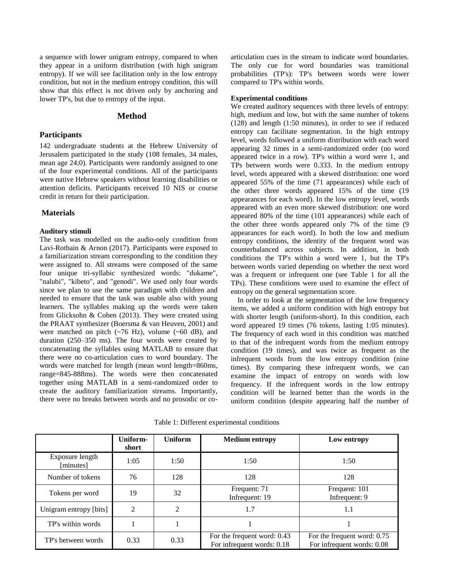a sequence with lower unigram entropy, compared to when they appear in a uniform distribution (with high unigram entropy). If we will see facilitation only in the low entropy condition, but not in the medium entropy condition, this will show that this effect is not driven only by anchoring and lower TP's, but due to entropy of the input.

#### **Method**

#### **Participants**

142 undergraduate students at the Hebrew University of Jerusalem participated in the study (108 females, 34 males, mean age 24;0). Participants were randomly assigned to one of the four experimental conditions. All of the participants were native Hebrew speakers without learning disabilities or attention deficits. Participants received 10 NIS or course credit in return for their participation.

## **Materials**

#### **Auditory stimuli**

The task was modelled on the audio-only condition from Lavi-Rotbain & Arnon (2017). Participants were exposed to a familiarization stream corresponding to the condition they were assigned to. All streams were composed of the same four unique tri-syllabic synthesized words: "dukame", "nalubi", "kibeto", and "genodi". We used only four words since we plan to use the same paradigm with children and needed to ensure that the task was usable also with young learners. The syllables making up the words were taken from Glicksohn & Cohen (2013). They were created using the PRAAT synthesizer (Boersma & van Heuven, 2001) and were matched on pitch  $({\sim}76 \text{ Hz})$ , volume  $({\sim}60 \text{ dB})$ , and duration (250–350 ms). The four words were created by concatenating the syllables using MATLAB to ensure that there were no co-articulation cues to word boundary. The words were matched for length (mean word length=860ms, range=845-888ms). The words were then concatenated together using MATLAB in a semi-randomized order to create the auditory familiarization streams. Importantly, there were no breaks between words and no prosodic or coarticulation cues in the stream to indicate word boundaries. The only cue for word boundaries was transitional probabilities (TP's): TP's between words were lower compared to TP's within words.

#### **Experimental conditions**

We created auditory sequences with three levels of entropy: high, medium and low, but with the same number of tokens (128) and length (1:50 minutes), in order to see if reduced entropy can facilitate segmentation. In the high entropy level, words followed a uniform distribution with each word appearing 32 times in a semi-randomized order (no word appeared twice in a row). TP's within a word were 1, and TPs between words were 0.333. In the medium entropy level, words appeared with a skewed distribution: one word appeared 55% of the time (71 appearances) while each of the other three words appeared 15% of the time (19 appearances for each word). In the low entropy level, words appeared with an even more skewed distribution: one word appeared 80% of the time (101 appearances) while each of the other three words appeared only 7% of the time (9 appearances for each word). In both the low and medium entropy conditions, the identity of the frequent word was counterbalanced across subjects. In addition, in both conditions the TP's within a word were 1, but the TP's between words varied depending on whether the next word was a frequent or infrequent one (see Table 1 for all the TPs). These conditions were used to examine the effect of entropy on the general segmentation score.

In order to look at the segmentation of the low frequency items, we added a uniform condition with high entropy but with shorter length (uniform-short). In this condition, each word appeared 19 times (76 tokens, lasting 1:05 minutes). The frequency of each word in this condition was matched to that of the infrequent words from the medium entropy condition (19 times), and was twice as frequent as the infrequent words from the low entropy condition (nine times). By comparing these infrequent words, we can examine the impact of entropy on words with low frequency. If the infrequent words in the low entropy condition will be learned better than the words in the uniform condition (despite appearing half the number of

**Uniform-**Uniform Medium entropy Low entropy

Table 1: Different experimental conditions

|                              | Uniform-<br>short | Uniform | Medium entropy                                            | Low entropy                                               |  |
|------------------------------|-------------------|---------|-----------------------------------------------------------|-----------------------------------------------------------|--|
| Exposure length<br>[minutes] | 1:05              | 1:50    | 1:50                                                      | 1:50                                                      |  |
| Number of tokens             | 76                | 128     | 128                                                       | 128                                                       |  |
| Tokens per word              | 19                | 32      | Frequent: 71<br>Infrequent: 19                            | Frequent: 101<br>Infrequent: 9                            |  |
| Unigram entropy [bits]       | 2                 | 2       | 1.7                                                       | 1.1                                                       |  |
| TP's within words            |                   |         |                                                           |                                                           |  |
| TP's between words           | 0.33              | 0.33    | For the frequent word: 0.43<br>For infrequent words: 0.18 | For the frequent word: 0.75<br>For infrequent words: 0.08 |  |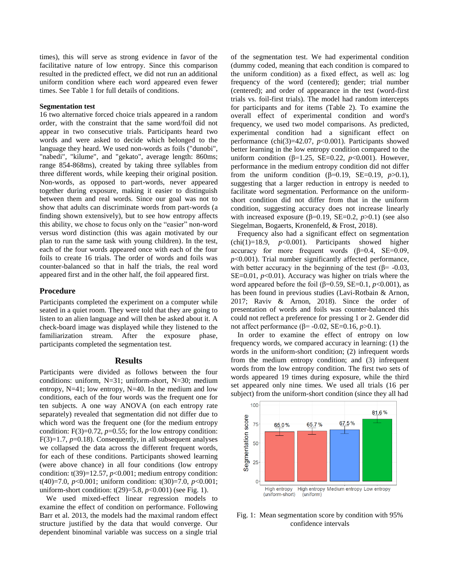times), this will serve as strong evidence in favor of the facilitative nature of low entropy. Since this comparison resulted in the predicted effect, we did not run an additional uniform condition where each word appeared even fewer times. See Table 1 for full details of conditions.

#### **Segmentation test**

16 two alternative forced choice trials appeared in a random order, with the constraint that the same word/foil did not appear in two consecutive trials. Participants heard two words and were asked to decide which belonged to the language they heard. We used non-words as foils ("dunobi", "nabedi", "kilume", and "gekato", average length: 860ms; range 854-868ms), created by taking three syllables from three different words, while keeping their original position. Non-words, as opposed to part-words, never appeared together during exposure, making it easier to distinguish between them and real words. Since our goal was not to show that adults can discriminate words from part-words (a finding shown extensively), but to see how entropy affects this ability, we chose to focus only on the "easier" non-word versus word distinction (this was again motivated by our plan to run the same task with young children). In the test, each of the four words appeared once with each of the four foils to create 16 trials. The order of words and foils was counter-balanced so that in half the trials, the real word appeared first and in the other half, the foil appeared first.

#### **Procedure**

Participants completed the experiment on a computer while seated in a quiet room. They were told that they are going to listen to an alien language and will then be asked about it. A check-board image was displayed while they listened to the familiarization stream. After the exposure phase, participants completed the segmentation test.

#### **Results**

Participants were divided as follows between the four conditions: uniform, N=31; uniform-short, N=30; medium entropy, N=41; low entropy, N=40. In the medium and low conditions, each of the four words was the frequent one for ten subjects. A one way ANOVA (on each entropy rate separately) revealed that segmentation did not differ due to which word was the frequent one (for the medium entropy condition:  $F(3)=0.72$ ,  $p=0.55$ ; for the low entropy condition: F(3)=1.7, *p*=0.18). Consequently, in all subsequent analyses we collapsed the data across the different frequent words, for each of these conditions. Participants showed learning (were above chance) in all four conditions (low entropy condition:  $t(39)=12.57$ ,  $p<0.001$ ; medium entropy condition: t(40)=7.0, *p*<0.001; uniform condition: t(30)=7.0, *p*<0.001; uniform-short condition: t(29)=5.8, *p*<0.001) (see Fig. 1).

We used mixed-effect linear regression models to examine the effect of condition on performance. Following Barr et al. 2013, the models had the maximal random effect structure justified by the data that would converge. Our dependent binominal variable was success on a single trial

of the segmentation test. We had experimental condition (dummy coded, meaning that each condition is compared to the uniform condition) as a fixed effect, as well as: log frequency of the word (centered); gender; trial number (centered); and order of appearance in the test (word-first trials vs. foil-first trials). The model had random intercepts for participants and for items (Table 2). To examine the overall effect of experimental condition and word's frequency, we used two model comparisons. As predicted, experimental condition had a significant effect on performance (chi(3)=42.07, *p*<0.001). Participants showed better learning in the low entropy condition compared to the uniform condition (β=1.25, SE=0.22, *p*<0.001). However, performance in the medium entropy condition did not differ from the uniform condition ( $\beta$ =0.19, SE=0.19, *p*>0.1), suggesting that a larger reduction in entropy is needed to facilitate word segmentation. Performance on the uniformshort condition did not differ from that in the uniform condition, suggesting accuracy does not increase linearly with increased exposure ( $\beta$ =0.19, SE=0.2, *p*>0.1) (see also Siegelman, Bogaerts, Kronenfeld, & Frost, 2018).

Frequency also had a significant effect on segmentation  $(\text{chi}(1)=18.9, p<0.001)$ . Participants showed higher accuracy for more frequent words  $(\beta=0.4, \text{ } SE=0.09,$ *p*<0.001). Trial number significantly affected performance, with better accuracy in the beginning of the test  $(\beta = -0.03, \alpha)$ SE=0.01, *p*<0.01). Accuracy was higher on trials where the word appeared before the foil (β=0.59, SE=0.1, *p*<0.001), as has been found in previous studies (Lavi-Rotbain & Arnon, 2017; Raviv & Arnon, 2018). Since the order of presentation of words and foils was counter-balanced this could not reflect a preference for pressing 1 or 2. Gender did not affect performance (β= -0.02, SE=0.16, *p*>0.1).

In order to examine the effect of entropy on low frequency words, we compared accuracy in learning: (1) the words in the uniform-short condition; (2) infrequent words from the medium entropy condition; and (3) infrequent words from the low entropy condition. The first two sets of words appeared 19 times during exposure, while the third set appeared only nine times. We used all trials (16 per subject) from the uniform-short condition (since they all had



Fig. 1: Mean segmentation score by condition with 95% confidence intervals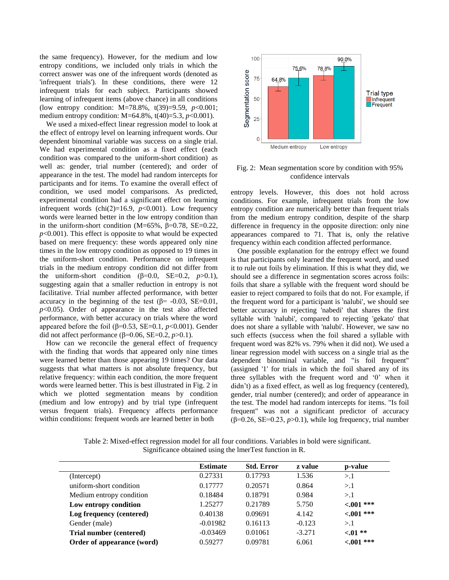the same frequency). However, for the medium and low entropy conditions, we included only trials in which the correct answer was one of the infrequent words (denoted as 'infrequent trials'). In these conditions, there were 12 infrequent trials for each subject. Participants showed learning of infrequent items (above chance) in all conditions (low entropy condition: M=78.8%, t(39)=9.59, *p*<0.001; medium entropy condition: M=64.8%, t(40)=5.3, *p*<0.001).

We used a mixed-effect linear regression model to look at the effect of entropy level on learning infrequent words. Our dependent binominal variable was success on a single trial. We had experimental condition as a fixed effect (each condition was compared to the uniform-short condition) as well as: gender, trial number (centered); and order of appearance in the test. The model had random intercepts for participants and for items. To examine the overall effect of condition, we used model comparisons. As predicted, experimental condition had a significant effect on learning infrequent words (chi(2)=16.9,  $p<0.001$ ). Low frequency words were learned better in the low entropy condition than in the uniform-short condition (M=65%,  $\beta$ =0.78, SE=0.22,  $p<0.001$ ). This effect is opposite to what would be expected based on mere frequency: these words appeared only nine times in the low entropy condition as opposed to 19 times in the uniform-short condition. Performance on infrequent trials in the medium entropy condition did not differ from the uniform-short condition ( $\beta$ =0.0, SE=0.2, *p*>0.1), suggesting again that a smaller reduction in entropy is not facilitative. Trial number affected performance, with better accuracy in the beginning of the test ( $\beta$ = -0.03, SE=0.01, *p*<0.05). Order of appearance in the test also affected performance, with better accuracy on trials where the word appeared before the foil ( $\beta$ =0.53, SE=0.1, *p*<0.001). Gender did not affect performance ( $β=0.06$ , SE=0.2, *p*>0.1).

How can we reconcile the general effect of frequency with the finding that words that appeared only nine times were learned better than those appearing 19 times? Our data suggests that what matters is not absolute frequency, but relative frequency: within each condition, the more frequent words were learned better. This is best illustrated in Fig. 2 in which we plotted segmentation means by condition (medium and low entropy) and by trial type (infrequent versus frequent trials). Frequency affects performance within conditions: frequent words are learned better in both



Fig. 2: Mean segmentation score by condition with 95% confidence intervals

entropy levels. However, this does not hold across conditions. For example, infrequent trials from the low entropy condition are numerically better than frequent trials from the medium entropy condition, despite of the sharp difference in frequency in the opposite direction: only nine appearances compared to 71. That is, only the relative frequency within each condition affected performance.

One possible explanation for the entropy effect we found is that participants only learned the frequent word, and used it to rule out foils by elimination. If this is what they did, we should see a difference in segmentation scores across foils: foils that share a syllable with the frequent word should be easier to reject compared to foils that do not. For example, if the frequent word for a participant is 'nalubi', we should see better accuracy in rejecting 'nabedi' that shares the first syllable with 'nalubi', compared to rejecting 'gekato' that does not share a syllable with 'nalubi'. However, we saw no such effects (success when the foil shared a syllable with frequent word was 82% vs. 79% when it did not). We used a linear regression model with success on a single trial as the dependent binominal variable, and "is foil frequent" (assigned '1' for trials in which the foil shared any of its three syllables with the frequent word and '0' when it didn't) as a fixed effect, as well as log frequency (centered), gender, trial number (centered); and order of appearance in the test. The model had random intercepts for items. "Is foil frequent" was not a significant predictor of accuracy ( $\beta$ =0.26, SE=0.23,  $p$ >0.1), while log frequency, trial number

Table 2: Mixed-effect regression model for all four conditions. Variables in bold were significant. Significance obtained using the lmerTest function in R.

|                            | <b>Estimate</b> | <b>Std. Error</b> | z value  | p-value      |
|----------------------------|-----------------|-------------------|----------|--------------|
| (Intercept)                | 0.27331         | 0.17793           | 1.536    | >1           |
| uniform-short condition    | 0.17777         | 0.20571           | 0.864    | >1           |
| Medium entropy condition   | 0.18484         | 0.18791           | 0.984    | >1           |
| Low entropy condition      | 1.25277         | 0.21789           | 5.750    | $< 0.01$ *** |
| Log frequency (centered)   | 0.40138         | 0.09691           | 4.142    | $<001$ ***   |
| Gender (male)              | $-0.01982$      | 0.16113           | $-0.123$ | >1           |
| Trial number (centered)    | $-0.03469$      | 0.01061           | $-3.271$ | $< 01 **$    |
| Order of appearance (word) | 0.59277         | 0.09781           | 6.061    | $< 0.01$ *** |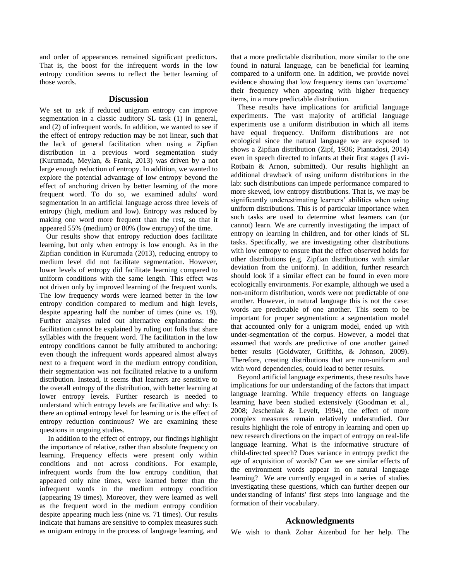and order of appearances remained significant predictors. That is, the boost for the infrequent words in the low entropy condition seems to reflect the better learning of those words.

#### **Discussion**

We set to ask if reduced unigram entropy can improve segmentation in a classic auditory SL task (1) in general, and (2) of infrequent words. In addition, we wanted to see if the effect of entropy reduction may be not linear, such that the lack of general facilitation when using a Zipfian distribution in a previous word segmentation study (Kurumada, Meylan, & Frank, 2013) was driven by a not large enough reduction of entropy. In addition, we wanted to explore the potential advantage of low entropy beyond the effect of anchoring driven by better learning of the more frequent word. To do so, we examined adults' word segmentation in an artificial language across three levels of entropy (high, medium and low). Entropy was reduced by making one word more frequent than the rest, so that it appeared 55% (medium) or 80% (low entropy) of the time.

Our results show that entropy reduction does facilitate learning, but only when entropy is low enough. As in the Zipfian condition in Kurumada (2013), reducing entropy to medium level did not facilitate segmentation. However, lower levels of entropy did facilitate learning compared to uniform conditions with the same length. This effect was not driven only by improved learning of the frequent words. The low frequency words were learned better in the low entropy condition compared to medium and high levels, despite appearing half the number of times (nine vs. 19). Further analyses ruled out alternative explanations: the facilitation cannot be explained by ruling out foils that share syllables with the frequent word. The facilitation in the low entropy conditions cannot be fully attributed to anchoring: even though the infrequent words appeared almost always next to a frequent word in the medium entropy condition, their segmentation was not facilitated relative to a uniform distribution. Instead, it seems that learners are sensitive to the overall entropy of the distribution, with better learning at lower entropy levels. Further research is needed to understand which entropy levels are facilitative and why: Is there an optimal entropy level for learning or is the effect of entropy reduction continuous? We are examining these questions in ongoing studies.

In addition to the effect of entropy, our findings highlight the importance of relative, rather than absolute frequency on learning. Frequency effects were present only within conditions and not across conditions. For example, infrequent words from the low entropy condition, that appeared only nine times, were learned better than the infrequent words in the medium entropy condition (appearing 19 times). Moreover, they were learned as well as the frequent word in the medium entropy condition despite appearing much less (nine vs. 71 times). Our results indicate that humans are sensitive to complex measures such as unigram entropy in the process of language learning, and

that a more predictable distribution, more similar to the one found in natural language, can be beneficial for learning compared to a uniform one. In addition, we provide novel evidence showing that low frequency items can 'overcome' their frequency when appearing with higher frequency items, in a more predictable distribution.

These results have implications for artificial language experiments. The vast majority of artificial language experiments use a uniform distribution in which all items have equal frequency. Uniform distributions are not ecological since the natural language we are exposed to shows a Zipfian distribution (Zipf, 1936; Piantadosi, 2014) even in speech directed to infants at their first stages (Lavi-Rotbain & Arnon, submitted). Our results highlight an additional drawback of using uniform distributions in the lab: such distributions can impede performance compared to more skewed, low entropy distributions. That is, we may be significantly underestimating learners' abilities when using uniform distributions. This is of particular importance when such tasks are used to determine what learners can (or cannot) learn. We are currently investigating the impact of entropy on learning in children, and for other kinds of SL tasks. Specifically, we are investigating other distributions with low entropy to ensure that the effect observed holds for other distributions (e.g. Zipfian distributions with similar deviation from the uniform). In addition, further research should look if a similar effect can be found in even more ecologically environments. For example, although we used a non-uniform distribution, words were not predictable of one another. However, in natural language this is not the case: words are predictable of one another. This seem to be important for proper segmentation: a segmentation model that accounted only for a unigram model, ended up with under-segmentation of the corpus. However, a model that assumed that words are predictive of one another gained better results (Goldwater, Griffiths, & Johnson, 2009). Therefore, creating distributions that are non-uniform and with word dependencies, could lead to better results.

Beyond artificial language experiments, these results have implications for our understanding of the factors that impact language learning. While frequency effects on language learning have been studied extensively (Goodman et al., 2008; Jescheniak & Levelt, 1994), the effect of more complex measures remain relatively understudied. Our results highlight the role of entropy in learning and open up new research directions on the impact of entropy on real-life language learning. What is the informative structure of child-directed speech? Does variance in entropy predict the age of acquisition of words? Can we see similar effects of the environment words appear in on natural language learning? We are currently engaged in a series of studies investigating these questions, which can further deepen our understanding of infants' first steps into language and the formation of their vocabulary.

### **Acknowledgments**

We wish to thank Zohar Aizenbud for her help. The